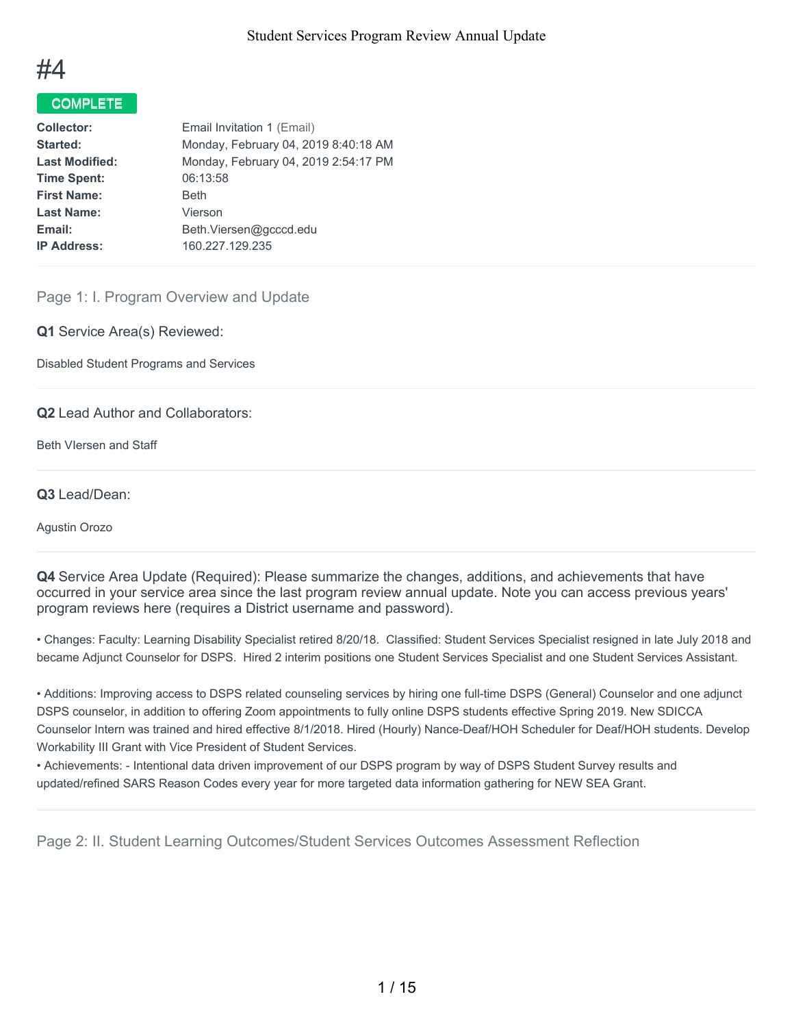

## COMPLETE

| <b>Collector:</b>     | Email Invitation 1 (Email)           |
|-----------------------|--------------------------------------|
| Started:              | Monday, February 04, 2019 8:40:18 AM |
| <b>Last Modified:</b> | Monday, February 04, 2019 2:54:17 PM |
| <b>Time Spent:</b>    | 06:13:58                             |
| <b>First Name:</b>    | <b>Beth</b>                          |
| <b>Last Name:</b>     | Vierson                              |
| Email:                | Beth.Viersen@gcccd.edu               |
| <b>IP Address:</b>    | 160.227.129.235                      |
|                       |                                      |

### Page 1: I. Program Overview and Update

**Q1** Service Area(s) Reviewed:

Disabled Student Programs and Services

**Q2** Lead Author and Collaborators:

Beth VIersen and Staff

#### **Q3** Lead/Dean:

Agustin Orozo

**Q4** Service Area Update (Required): Please summarize the changes, additions, and achievements that have occurred in your service area since the last program review annual update. Note you can access previous years' program reviews here (requires a District username and password).

• Changes: Faculty: Learning Disability Specialist retired 8/20/18. Classified: Student Services Specialist resigned in late July 2018 and became Adjunct Counselor for DSPS. Hired 2 interim positions one Student Services Specialist and one Student Services Assistant.

• Additions: Improving access to DSPS related counseling services by hiring one full-time DSPS (General) Counselor and one adjunct DSPS counselor, in addition to offering Zoom appointments to fully online DSPS students effective Spring 2019. New SDICCA Counselor Intern was trained and hired effective 8/1/2018. Hired (Hourly) Nance-Deaf/HOH Scheduler for Deaf/HOH students. Develop Workability III Grant with Vice President of Student Services.

• Achievements: - Intentional data driven improvement of our DSPS program by way of DSPS Student Survey results and updated/refined SARS Reason Codes every year for more targeted data information gathering for NEW SEA Grant.

Page 2: II. Student Learning Outcomes/Student Services Outcomes Assessment Reflection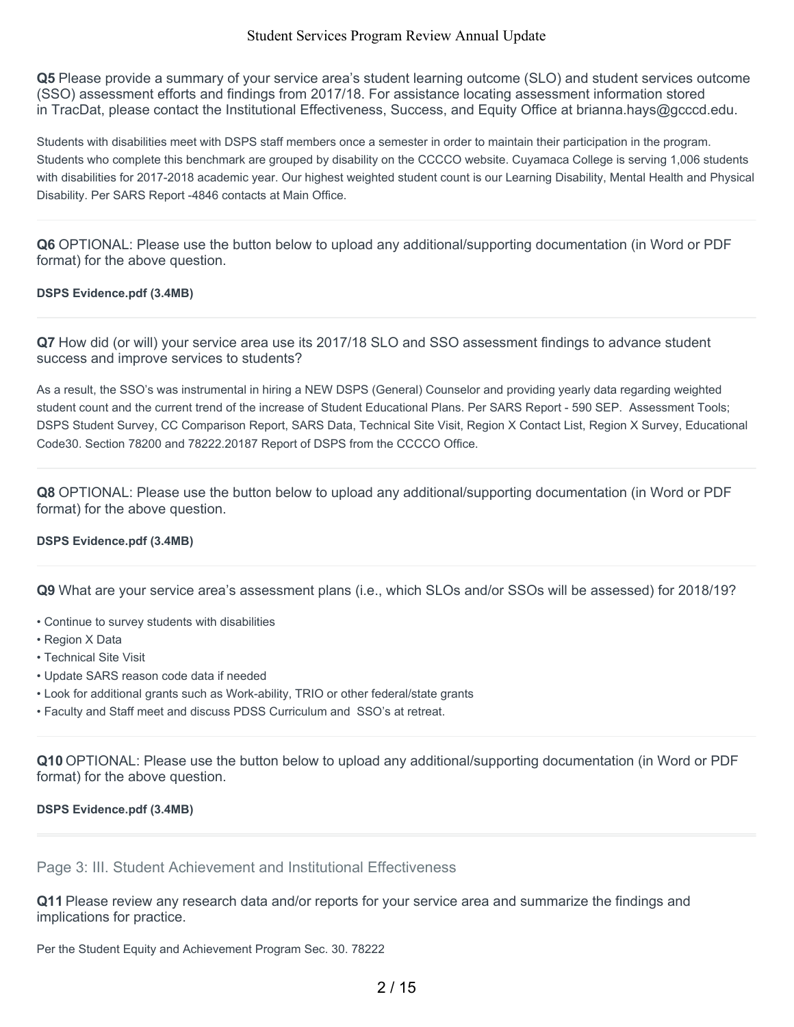**Q5** Please provide a summary of your service area's student learning outcome (SLO) and student services outcome (SSO) assessment efforts and findings from 2017/18. For assistance locating assessment information stored in TracDat, please contact the Institutional Effectiveness, Success, and Equity Office at brianna.hays@gcccd.edu.

Students with disabilities meet with DSPS staff members once a semester in order to maintain their participation in the program. Students who complete this benchmark are grouped by disability on the CCCCO website. Cuyamaca College is serving 1,006 students with disabilities for 2017-2018 academic year. Our highest weighted student count is our Learning Disability, Mental Health and Physical Disability. Per SARS Report -4846 contacts at Main Office.

**Q6** OPTIONAL: Please use the button below to upload any additional/supporting documentation (in Word or PDF format) for the above question.

#### **DSPS Evidence.pdf (3.4MB)**

**Q7** How did (or will) your service area use its 2017/18 SLO and SSO assessment findings to advance student success and improve services to students?

As a result, the SSO's was instrumental in hiring a NEW DSPS (General) Counselor and providing yearly data regarding weighted student count and the current trend of the increase of Student Educational Plans. Per SARS Report - 590 SEP. Assessment Tools; DSPS Student Survey, CC Comparison Report, SARS Data, Technical Site Visit, Region X Contact List, Region X Survey, Educational Code30. Section 78200 and 78222.20187 Report of DSPS from the CCCCO Office.

**Q8** OPTIONAL: Please use the button below to upload any additional/supporting documentation (in Word or PDF format) for the above question.

#### **DSPS Evidence.pdf (3.4MB)**

**Q9** What are your service area's assessment plans (i.e., which SLOs and/or SSOs will be assessed) for 2018/19?

- Continue to survey students with disabilities
- Region X Data
- Technical Site Visit
- Update SARS reason code data if needed
- Look for additional grants such as Work-ability, TRIO or other federal/state grants
- Faculty and Staff meet and discuss PDSS Curriculum and SSO's at retreat.

**Q10** OPTIONAL: Please use the button below to upload any additional/supporting documentation (in Word or PDF format) for the above question.

#### **DSPS Evidence.pdf (3.4MB)**

## Page 3: III. Student Achievement and Institutional Effectiveness

**Q11** Please review any research data and/or reports for your service area and summarize the findings and implications for practice.

Per the Student Equity and Achievement Program Sec. 30. 78222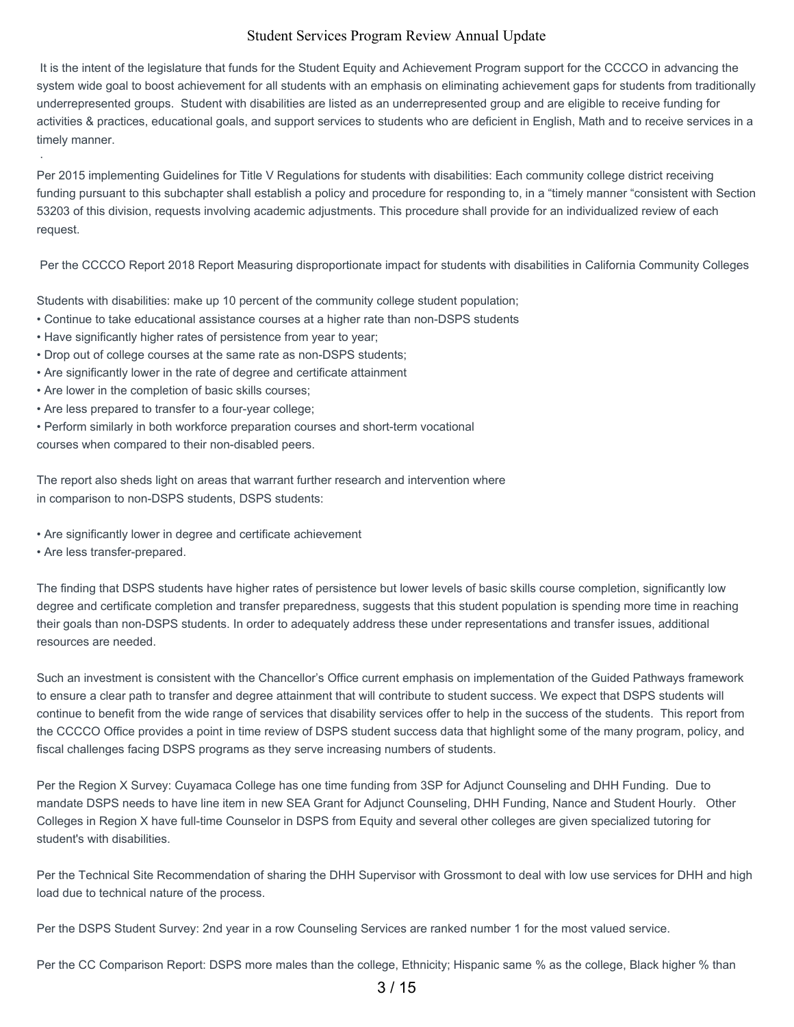It is the intent of the legislature that funds for the Student Equity and Achievement Program support for the CCCCO in advancing the system wide goal to boost achievement for all students with an emphasis on eliminating achievement gaps for students from traditionally underrepresented groups. Student with disabilities are listed as an underrepresented group and are eligible to receive funding for activities & practices, educational goals, and support services to students who are deficient in English, Math and to receive services in a timely manner.

Per 2015 implementing Guidelines for Title V Regulations for students with disabilities: Each community college district receiving funding pursuant to this subchapter shall establish a policy and procedure for responding to, in a "timely manner "consistent with Section 53203 of this division, requests involving academic adjustments. This procedure shall provide for an individualized review of each request.

Per the CCCCO Report 2018 Report Measuring disproportionate impact for students with disabilities in California Community Colleges

Students with disabilities: make up 10 percent of the community college student population;

- Continue to take educational assistance courses at a higher rate than non-DSPS students
- Have significantly higher rates of persistence from year to year;
- Drop out of college courses at the same rate as non-DSPS students;
- Are significantly lower in the rate of degree and certificate attainment
- Are lower in the completion of basic skills courses;
- Are less prepared to transfer to a four-year college;
- Perform similarly in both workforce preparation courses and short-term vocational

courses when compared to their non-disabled peers.

The report also sheds light on areas that warrant further research and intervention where in comparison to non-DSPS students, DSPS students:

- Are significantly lower in degree and certificate achievement
- Are less transfer-prepared.

·

The finding that DSPS students have higher rates of persistence but lower levels of basic skills course completion, significantly low degree and certificate completion and transfer preparedness, suggests that this student population is spending more time in reaching their goals than non-DSPS students. In order to adequately address these under representations and transfer issues, additional resources are needed.

Such an investment is consistent with the Chancellor's Office current emphasis on implementation of the Guided Pathways framework to ensure a clear path to transfer and degree attainment that will contribute to student success. We expect that DSPS students will continue to benefit from the wide range of services that disability services offer to help in the success of the students. This report from the CCCCO Office provides a point in time review of DSPS student success data that highlight some of the many program, policy, and fiscal challenges facing DSPS programs as they serve increasing numbers of students.

Per the Region X Survey: Cuyamaca College has one time funding from 3SP for Adjunct Counseling and DHH Funding. Due to mandate DSPS needs to have line item in new SEA Grant for Adjunct Counseling, DHH Funding, Nance and Student Hourly. Other Colleges in Region X have full-time Counselor in DSPS from Equity and several other colleges are given specialized tutoring for student's with disabilities.

Per the Technical Site Recommendation of sharing the DHH Supervisor with Grossmont to deal with low use services for DHH and high load due to technical nature of the process.

Per the DSPS Student Survey: 2nd year in a row Counseling Services are ranked number 1 for the most valued service.

Per the CC Comparison Report: DSPS more males than the college, Ethnicity; Hispanic same % as the college, Black higher % than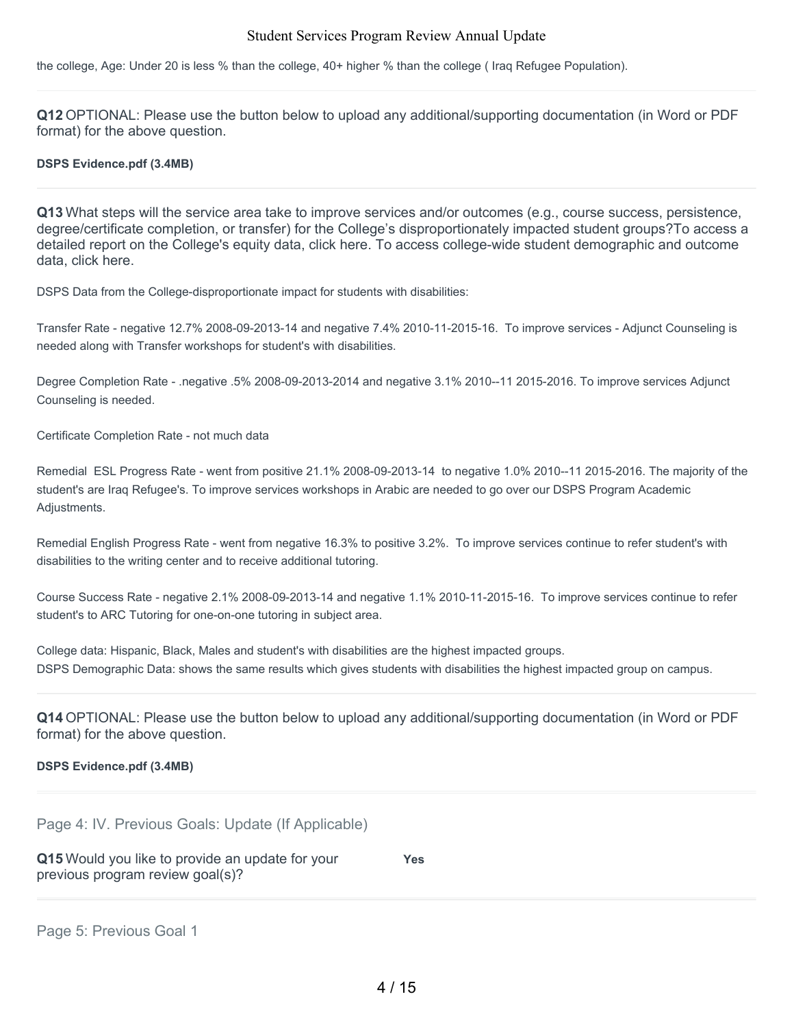the college, Age: Under 20 is less % than the college, 40+ higher % than the college ( Iraq Refugee Population).

**Q12** OPTIONAL: Please use the button below to upload any additional/supporting documentation (in Word or PDF format) for the above question.

#### **DSPS Evidence.pdf (3.4MB)**

**Q13** What steps will the service area take to improve services and/or outcomes (e.g., course success, persistence, degree/certificate completion, or transfer) for the College's disproportionately impacted student groups?To access a detailed report on the College's equity data, click here. To access college-wide student demographic and outcome data, click here.

DSPS Data from the College-disproportionate impact for students with disabilities:

Transfer Rate - negative 12.7% 2008-09-2013-14 and negative 7.4% 2010-11-2015-16. To improve services - Adjunct Counseling is needed along with Transfer workshops for student's with disabilities.

Degree Completion Rate - .negative .5% 2008-09-2013-2014 and negative 3.1% 2010--11 2015-2016. To improve services Adjunct Counseling is needed.

Certificate Completion Rate - not much data

Remedial ESL Progress Rate - went from positive 21.1% 2008-09-2013-14 to negative 1.0% 2010--11 2015-2016. The majority of the student's are Iraq Refugee's. To improve services workshops in Arabic are needed to go over our DSPS Program Academic Adjustments.

Remedial English Progress Rate - went from negative 16.3% to positive 3.2%. To improve services continue to refer student's with disabilities to the writing center and to receive additional tutoring.

Course Success Rate - negative 2.1% 2008-09-2013-14 and negative 1.1% 2010-11-2015-16. To improve services continue to refer student's to ARC Tutoring for one-on-one tutoring in subject area.

College data: Hispanic, Black, Males and student's with disabilities are the highest impacted groups. DSPS Demographic Data: shows the same results which gives students with disabilities the highest impacted group on campus.

**Q14** OPTIONAL: Please use the button below to upload any additional/supporting documentation (in Word or PDF format) for the above question.

#### **DSPS Evidence.pdf (3.4MB)**

Page 4: IV. Previous Goals: Update (If Applicable)

**Q15** Would you like to provide an update for your previous program review goal(s)? **Yes**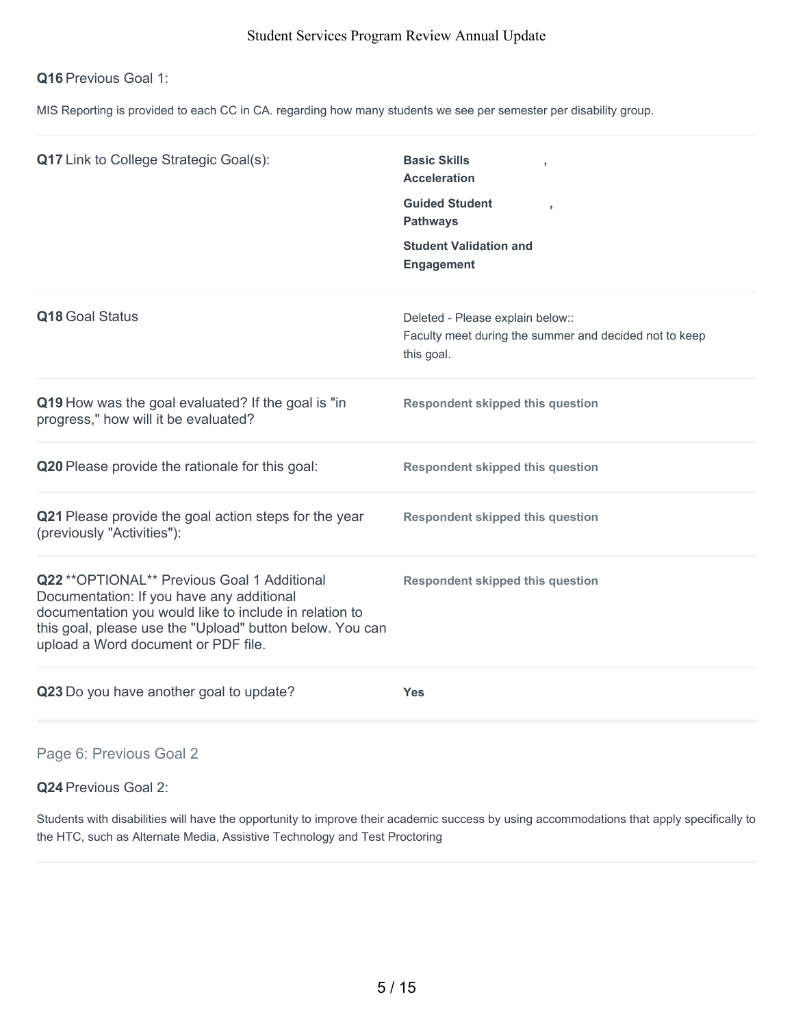## **Q16** Previous Goal 1:

MIS Reporting is provided to each CC in CA. regarding how many students we see per semester per disability group.

| <b>Q17</b> Link to College Strategic Goal(s):                                                                                                                                                                                                          | <b>Basic Skills</b><br><b>Acceleration</b><br><b>Guided Student</b><br>$\overline{1}$<br><b>Pathways</b><br><b>Student Validation and</b><br><b>Engagement</b> |
|--------------------------------------------------------------------------------------------------------------------------------------------------------------------------------------------------------------------------------------------------------|----------------------------------------------------------------------------------------------------------------------------------------------------------------|
| Q18 Goal Status                                                                                                                                                                                                                                        | Deleted - Please explain below::<br>Faculty meet during the summer and decided not to keep<br>this goal.                                                       |
| Q19 How was the goal evaluated? If the goal is "in<br>progress," how will it be evaluated?                                                                                                                                                             | <b>Respondent skipped this question</b>                                                                                                                        |
| Q20 Please provide the rationale for this goal:                                                                                                                                                                                                        | <b>Respondent skipped this question</b>                                                                                                                        |
| Q21 Please provide the goal action steps for the year<br>(previously "Activities"):                                                                                                                                                                    | <b>Respondent skipped this question</b>                                                                                                                        |
| Q22 ** OPTIONAL** Previous Goal 1 Additional<br>Documentation: If you have any additional<br>documentation you would like to include in relation to<br>this goal, please use the "Upload" button below. You can<br>upload a Word document or PDF file. | <b>Respondent skipped this question</b>                                                                                                                        |
| Q23 Do you have another goal to update?                                                                                                                                                                                                                | <b>Yes</b>                                                                                                                                                     |

Page 6: Previous Goal 2

**Q24** Previous Goal 2:

Students with disabilities will have the opportunity to improve their academic success by using accommodations that apply specifically to the HTC, such as Alternate Media, Assistive Technology and Test Proctoring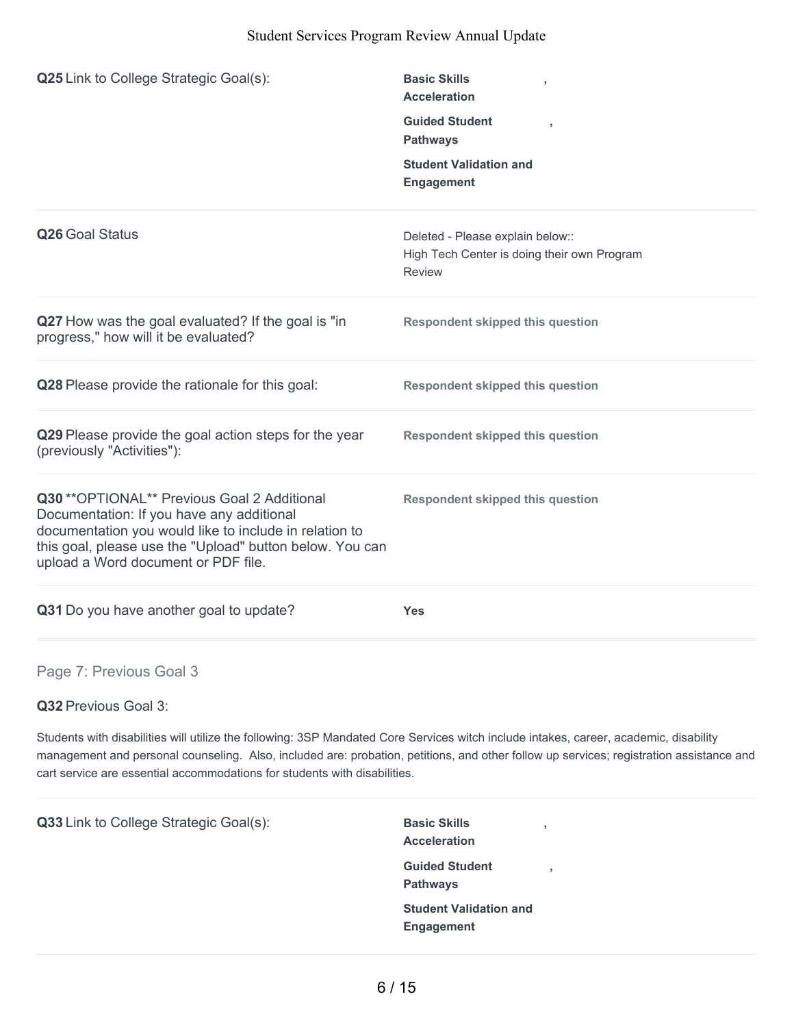| <b>Q25</b> Link to College Strategic Goal(s):                                                                                                                                                                                                          | <b>Basic Skills</b><br>$\overline{1}$<br><b>Acceleration</b><br><b>Guided Student</b><br>٠<br><b>Pathways</b><br><b>Student Validation and</b><br>Engagement |
|--------------------------------------------------------------------------------------------------------------------------------------------------------------------------------------------------------------------------------------------------------|--------------------------------------------------------------------------------------------------------------------------------------------------------------|
| Q26 Goal Status                                                                                                                                                                                                                                        | Deleted - Please explain below::<br>High Tech Center is doing their own Program<br><b>Review</b>                                                             |
| Q27 How was the goal evaluated? If the goal is "in<br>progress," how will it be evaluated?                                                                                                                                                             | <b>Respondent skipped this question</b>                                                                                                                      |
| Q28 Please provide the rationale for this goal:                                                                                                                                                                                                        | <b>Respondent skipped this question</b>                                                                                                                      |
| Q29 Please provide the goal action steps for the year<br>(previously "Activities"):                                                                                                                                                                    | <b>Respondent skipped this question</b>                                                                                                                      |
| Q30 ** OPTIONAL** Previous Goal 2 Additional<br>Documentation: If you have any additional<br>documentation you would like to include in relation to<br>this goal, please use the "Upload" button below. You can<br>upload a Word document or PDF file. | <b>Respondent skipped this question</b>                                                                                                                      |
| Q31 Do you have another goal to update?                                                                                                                                                                                                                | <b>Yes</b>                                                                                                                                                   |
| Page 7: Previous Goal 3                                                                                                                                                                                                                                |                                                                                                                                                              |

**Q32** Previous Goal 3:

Students with disabilities will utilize the following: 3SP Mandated Core Services witch include intakes, career, academic, disability management and personal counseling. Also, included are: probation, petitions, and other follow up services; registration assistance and cart service are essential accommodations for students with disabilities.

**Q33** Link to College Strategic Goal(s): Basic Skills **Acceleration , Guided Student Pathways , Student Validation and Engagement**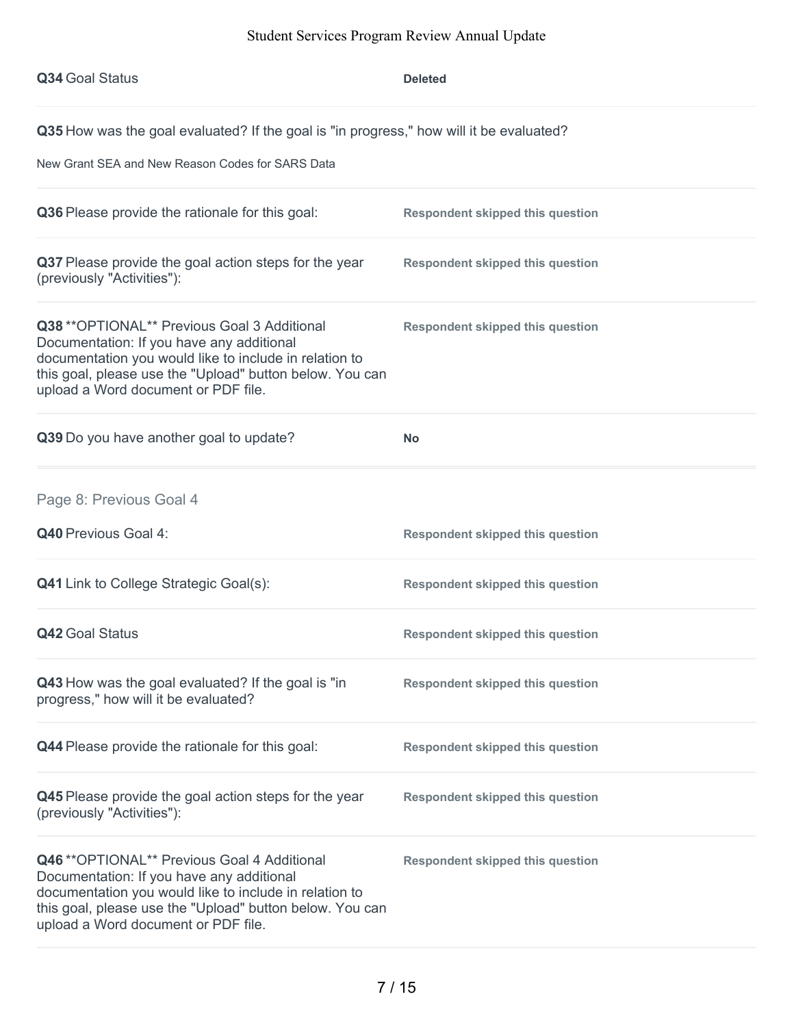| Q34 Goal Status                                                                                                                                                                                                                                        | <b>Deleted</b>                          |  |
|--------------------------------------------------------------------------------------------------------------------------------------------------------------------------------------------------------------------------------------------------------|-----------------------------------------|--|
| Q35 How was the goal evaluated? If the goal is "in progress," how will it be evaluated?                                                                                                                                                                |                                         |  |
| New Grant SEA and New Reason Codes for SARS Data                                                                                                                                                                                                       |                                         |  |
| Q36 Please provide the rationale for this goal:                                                                                                                                                                                                        | <b>Respondent skipped this question</b> |  |
| Q37 Please provide the goal action steps for the year<br>(previously "Activities"):                                                                                                                                                                    | <b>Respondent skipped this question</b> |  |
| Q38 ** OPTIONAL** Previous Goal 3 Additional<br>Documentation: If you have any additional<br>documentation you would like to include in relation to<br>this goal, please use the "Upload" button below. You can<br>upload a Word document or PDF file. | <b>Respondent skipped this question</b> |  |
| Q39 Do you have another goal to update?                                                                                                                                                                                                                | <b>No</b>                               |  |
| Page 8: Previous Goal 4                                                                                                                                                                                                                                |                                         |  |
| <b>Q40 Previous Goal 4:</b>                                                                                                                                                                                                                            | <b>Respondent skipped this question</b> |  |
| <b>Q41</b> Link to College Strategic Goal(s):                                                                                                                                                                                                          | <b>Respondent skipped this question</b> |  |
| <b>Q42 Goal Status</b>                                                                                                                                                                                                                                 | <b>Respondent skipped this question</b> |  |
| Q43 How was the goal evaluated? If the goal is "in<br>progress," how will it be evaluated?                                                                                                                                                             | <b>Respondent skipped this question</b> |  |
| Q44 Please provide the rationale for this goal:                                                                                                                                                                                                        | <b>Respondent skipped this question</b> |  |
| Q45 Please provide the goal action steps for the year<br>(previously "Activities"):                                                                                                                                                                    | <b>Respondent skipped this question</b> |  |
| Q46 ** OPTIONAL** Previous Goal 4 Additional<br>Documentation: If you have any additional<br>documentation you would like to include in relation to<br>this goal, please use the "Upload" button below. You can<br>upload a Word document or PDF file. | <b>Respondent skipped this question</b> |  |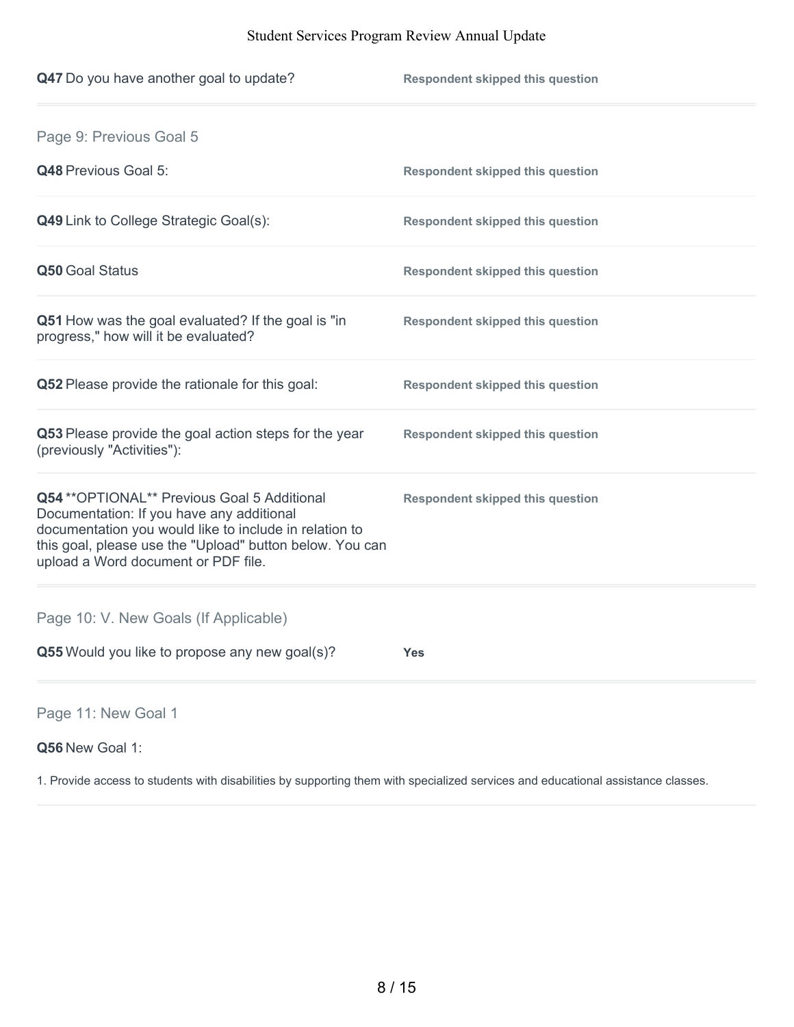| Q47 Do you have another goal to update?                                                                                                                                                                                                                | <b>Respondent skipped this question</b> |
|--------------------------------------------------------------------------------------------------------------------------------------------------------------------------------------------------------------------------------------------------------|-----------------------------------------|
| Page 9: Previous Goal 5                                                                                                                                                                                                                                |                                         |
| Q48 Previous Goal 5:                                                                                                                                                                                                                                   | <b>Respondent skipped this question</b> |
| <b>Q49</b> Link to College Strategic Goal(s):                                                                                                                                                                                                          | <b>Respondent skipped this question</b> |
| Q50 Goal Status                                                                                                                                                                                                                                        | <b>Respondent skipped this question</b> |
| Q51 How was the goal evaluated? If the goal is "in<br>progress," how will it be evaluated?                                                                                                                                                             | <b>Respondent skipped this question</b> |
| Q52 Please provide the rationale for this goal:                                                                                                                                                                                                        | <b>Respondent skipped this question</b> |
| Q53 Please provide the goal action steps for the year<br>(previously "Activities"):                                                                                                                                                                    | <b>Respondent skipped this question</b> |
| Q54 ** OPTIONAL** Previous Goal 5 Additional<br>Documentation: If you have any additional<br>documentation you would like to include in relation to<br>this goal, please use the "Upload" button below. You can<br>upload a Word document or PDF file. | <b>Respondent skipped this question</b> |
| Page 10: V. New Goals (If Applicable)                                                                                                                                                                                                                  |                                         |
| Q55 Would you like to propose any new goal(s)?                                                                                                                                                                                                         | <b>Yes</b>                              |
|                                                                                                                                                                                                                                                        |                                         |

Page 11: New Goal 1

## **Q56** New Goal 1:

1. Provide access to students with disabilities by supporting them with specialized services and educational assistance classes.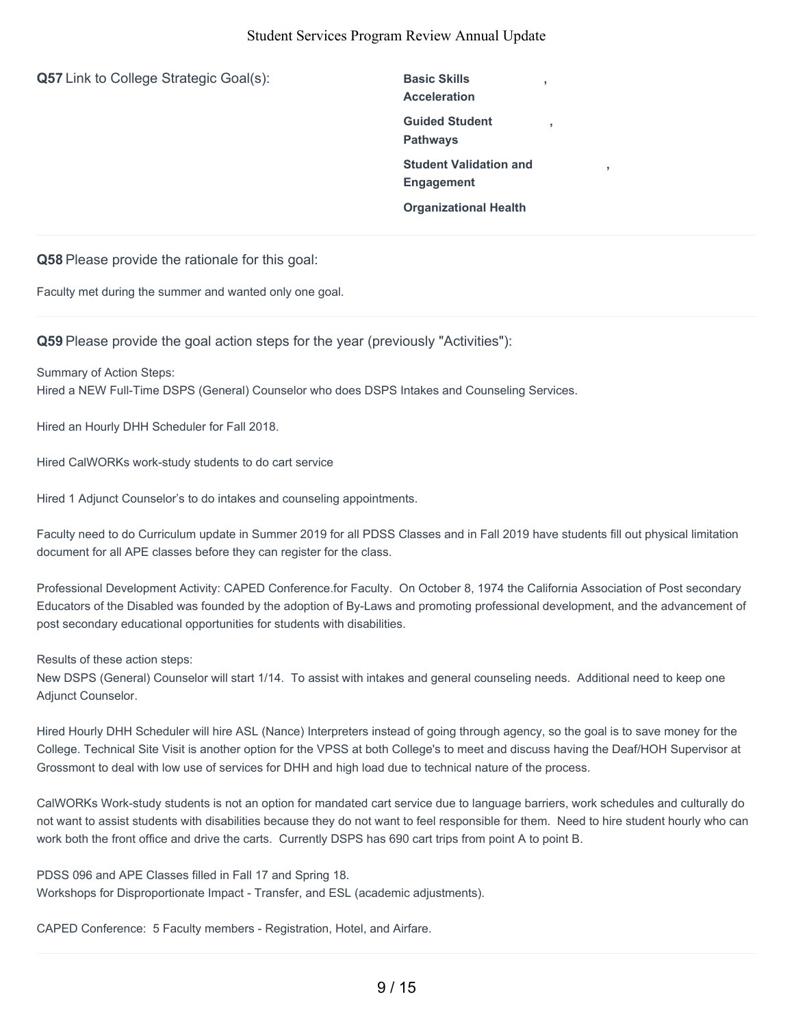**Q57** Link to College Strategic Goal(s): Basic Skills

**Acceleration Guided Student Pathways Student Validation and Engagement Organizational Health**

**,**

**,**

**,**

**Q58** Please provide the rationale for this goal:

Faculty met during the summer and wanted only one goal.

**Q59** Please provide the goal action steps for the year (previously "Activities"):

Summary of Action Steps: Hired a NEW Full-Time DSPS (General) Counselor who does DSPS Intakes and Counseling Services.

Hired an Hourly DHH Scheduler for Fall 2018.

Hired CalWORKs work-study students to do cart service

Hired 1 Adjunct Counselor's to do intakes and counseling appointments.

Faculty need to do Curriculum update in Summer 2019 for all PDSS Classes and in Fall 2019 have students fill out physical limitation document for all APE classes before they can register for the class.

Professional Development Activity: CAPED Conference.for Faculty. On October 8, 1974 the California Association of Post secondary Educators of the Disabled was founded by the adoption of By-Laws and promoting professional development, and the advancement of post secondary educational opportunities for students with disabilities.

Results of these action steps:

New DSPS (General) Counselor will start 1/14. To assist with intakes and general counseling needs. Additional need to keep one Adjunct Counselor.

Hired Hourly DHH Scheduler will hire ASL (Nance) Interpreters instead of going through agency, so the goal is to save money for the College. Technical Site Visit is another option for the VPSS at both College's to meet and discuss having the Deaf/HOH Supervisor at Grossmont to deal with low use of services for DHH and high load due to technical nature of the process.

CalWORKs Work-study students is not an option for mandated cart service due to language barriers, work schedules and culturally do not want to assist students with disabilities because they do not want to feel responsible for them. Need to hire student hourly who can work both the front office and drive the carts. Currently DSPS has 690 cart trips from point A to point B.

PDSS 096 and APE Classes filled in Fall 17 and Spring 18. Workshops for Disproportionate Impact - Transfer, and ESL (academic adjustments).

CAPED Conference: 5 Faculty members - Registration, Hotel, and Airfare.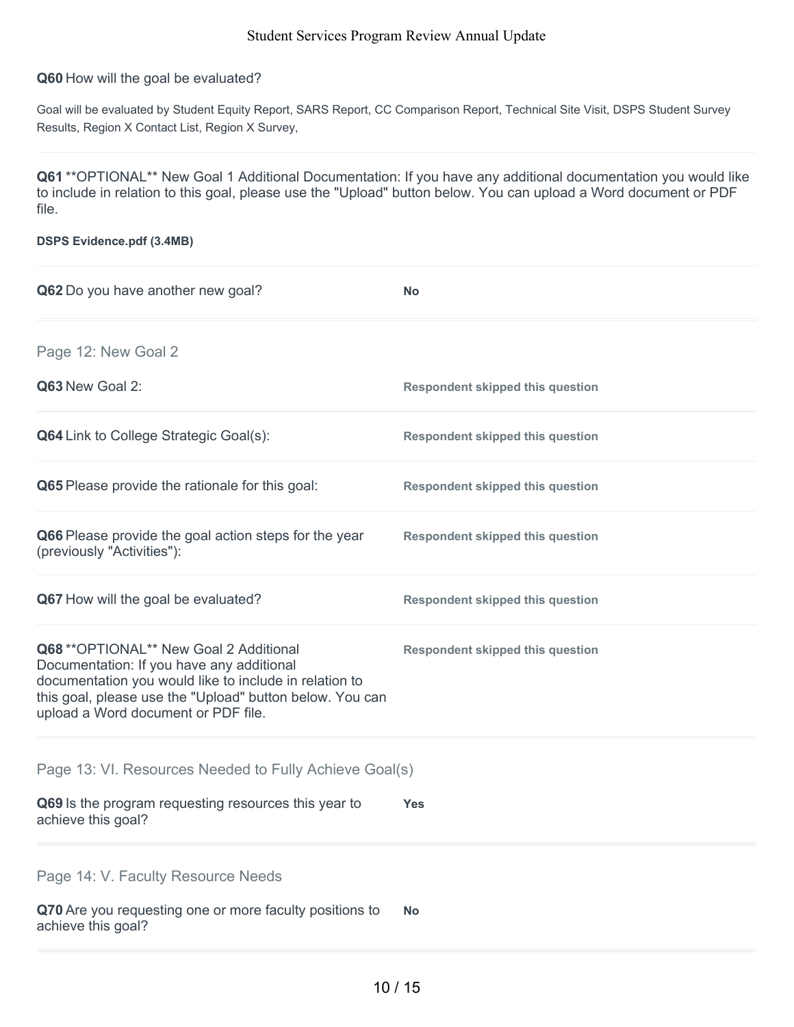#### **Q60** How will the goal be evaluated?

Goal will be evaluated by Student Equity Report, SARS Report, CC Comparison Report, Technical Site Visit, DSPS Student Survey Results, Region X Contact List, Region X Survey,

**Q61** \*\*OPTIONAL\*\* New Goal 1 Additional Documentation: If you have any additional documentation you would like to include in relation to this goal, please use the "Upload" button below. You can upload a Word document or PDF file.

| <b>DSPS Evidence.pdf (3.4MB)</b>                                                                                                                                                                                                                  |                                         |  |
|---------------------------------------------------------------------------------------------------------------------------------------------------------------------------------------------------------------------------------------------------|-----------------------------------------|--|
| Q62 Do you have another new goal?                                                                                                                                                                                                                 | <b>No</b>                               |  |
| Page 12: New Goal 2                                                                                                                                                                                                                               |                                         |  |
| Q63 New Goal 2:                                                                                                                                                                                                                                   | <b>Respondent skipped this question</b> |  |
| <b>Q64</b> Link to College Strategic Goal(s):                                                                                                                                                                                                     | <b>Respondent skipped this question</b> |  |
| Q65 Please provide the rationale for this goal:                                                                                                                                                                                                   | <b>Respondent skipped this question</b> |  |
| Q66 Please provide the goal action steps for the year<br>(previously "Activities"):                                                                                                                                                               | <b>Respondent skipped this question</b> |  |
| Q67 How will the goal be evaluated?                                                                                                                                                                                                               | <b>Respondent skipped this question</b> |  |
| Q68 ** OPTIONAL** New Goal 2 Additional<br>Documentation: If you have any additional<br>documentation you would like to include in relation to<br>this goal, please use the "Upload" button below. You can<br>upload a Word document or PDF file. | <b>Respondent skipped this question</b> |  |
| Page 13: VI. Resources Needed to Fully Achieve Goal(s)                                                                                                                                                                                            |                                         |  |
| Q69 Is the program requesting resources this year to<br>achieve this goal?                                                                                                                                                                        | <b>Yes</b>                              |  |
| Page 14: V. Faculty Resource Needs                                                                                                                                                                                                                |                                         |  |
| Q70 Are you requesting one or more faculty positions to<br>achieve this goal?                                                                                                                                                                     | <b>No</b>                               |  |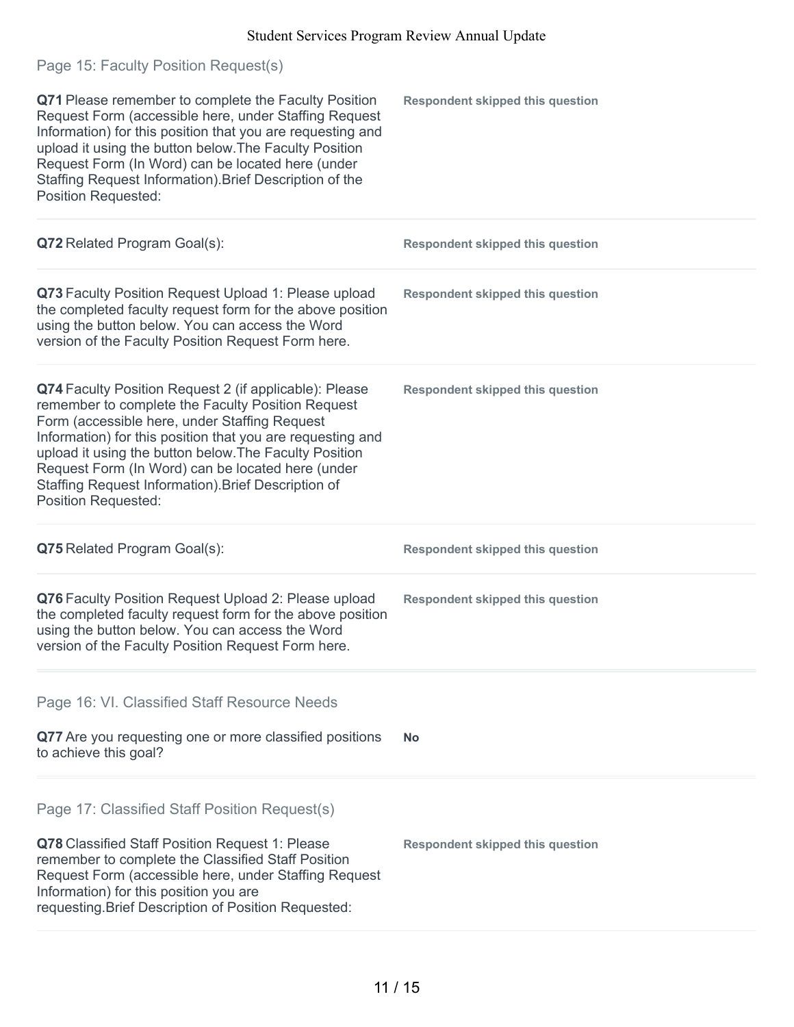| Page 15: Faculty Position Request(s)                                                                                                                                                                                                                                                                                                                                                                                           |                                         |
|--------------------------------------------------------------------------------------------------------------------------------------------------------------------------------------------------------------------------------------------------------------------------------------------------------------------------------------------------------------------------------------------------------------------------------|-----------------------------------------|
| Q71 Please remember to complete the Faculty Position<br>Request Form (accessible here, under Staffing Request<br>Information) for this position that you are requesting and<br>upload it using the button below. The Faculty Position<br>Request Form (In Word) can be located here (under<br>Staffing Request Information). Brief Description of the<br><b>Position Requested:</b>                                            | <b>Respondent skipped this question</b> |
| Q72 Related Program Goal(s):                                                                                                                                                                                                                                                                                                                                                                                                   | <b>Respondent skipped this question</b> |
| Q73 Faculty Position Request Upload 1: Please upload<br>the completed faculty request form for the above position<br>using the button below. You can access the Word<br>version of the Faculty Position Request Form here.                                                                                                                                                                                                     | <b>Respondent skipped this question</b> |
| Q74 Faculty Position Request 2 (if applicable): Please<br>remember to complete the Faculty Position Request<br>Form (accessible here, under Staffing Request<br>Information) for this position that you are requesting and<br>upload it using the button below. The Faculty Position<br>Request Form (In Word) can be located here (under<br>Staffing Request Information). Brief Description of<br><b>Position Requested:</b> | <b>Respondent skipped this question</b> |
| Q75 Related Program Goal(s):                                                                                                                                                                                                                                                                                                                                                                                                   | <b>Respondent skipped this question</b> |
| Q76 Faculty Position Request Upload 2: Please upload<br>the completed faculty request form for the above position<br>using the button below. You can access the Word<br>version of the Faculty Position Request Form here.                                                                                                                                                                                                     | <b>Respondent skipped this question</b> |
| Page 16: VI. Classified Staff Resource Needs                                                                                                                                                                                                                                                                                                                                                                                   |                                         |
| Q77 Are you requesting one or more classified positions<br>to achieve this goal?                                                                                                                                                                                                                                                                                                                                               | No.                                     |
| Page 17: Classified Staff Position Request(s)<br>Q78 Classified Staff Position Request 1: Please<br>remember to complete the Classified Staff Position<br>Request Form (accessible here, under Staffing Request                                                                                                                                                                                                                | <b>Respondent skipped this question</b> |
| Information) for this position you are<br>requesting. Brief Description of Position Requested:                                                                                                                                                                                                                                                                                                                                 |                                         |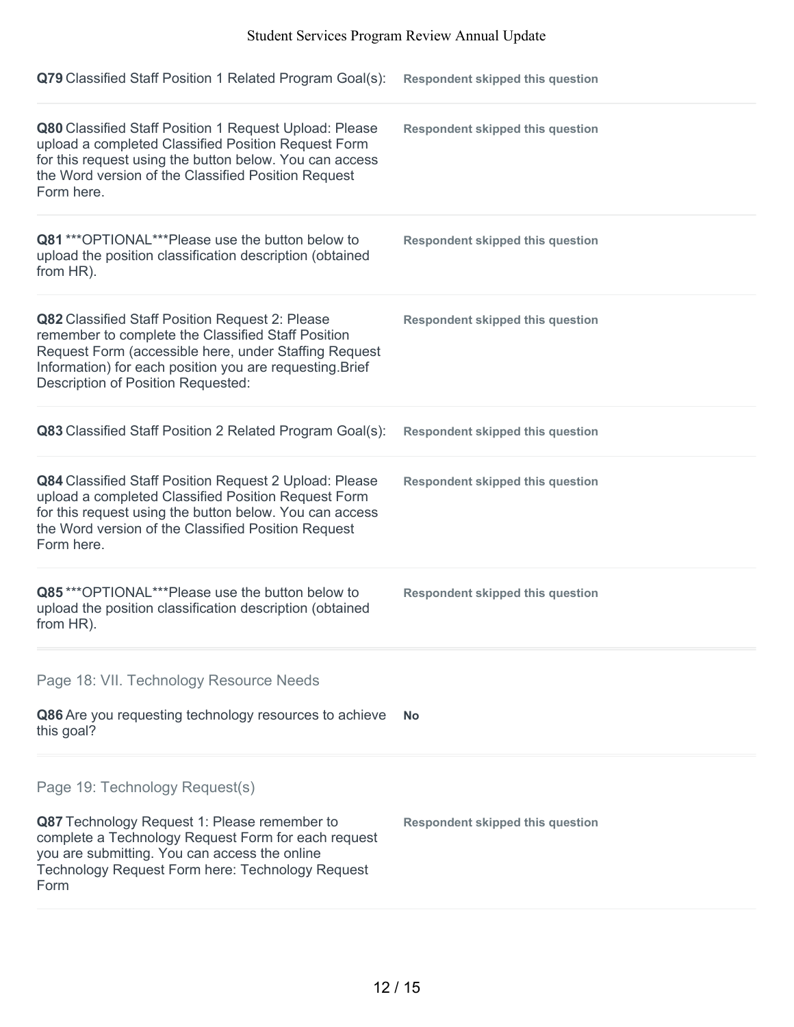| Q79 Classified Staff Position 1 Related Program Goal(s):                                                                                                                                                                                                                | <b>Respondent skipped this question</b> |
|-------------------------------------------------------------------------------------------------------------------------------------------------------------------------------------------------------------------------------------------------------------------------|-----------------------------------------|
| Q80 Classified Staff Position 1 Request Upload: Please<br>upload a completed Classified Position Request Form<br>for this request using the button below. You can access<br>the Word version of the Classified Position Request<br>Form here.                           | <b>Respondent skipped this question</b> |
| Q81 *** OPTIONAL*** Please use the button below to<br>upload the position classification description (obtained<br>from HR).                                                                                                                                             | <b>Respondent skipped this question</b> |
| Q82 Classified Staff Position Request 2: Please<br>remember to complete the Classified Staff Position<br>Request Form (accessible here, under Staffing Request<br>Information) for each position you are requesting. Brief<br><b>Description of Position Requested:</b> | <b>Respondent skipped this question</b> |
| Q83 Classified Staff Position 2 Related Program Goal(s):                                                                                                                                                                                                                | <b>Respondent skipped this question</b> |
| Q84 Classified Staff Position Request 2 Upload: Please<br>upload a completed Classified Position Request Form<br>for this request using the button below. You can access<br>the Word version of the Classified Position Request<br>Form here.                           | <b>Respondent skipped this question</b> |
| Q85***OPTIONAL***Please use the button below to<br>upload the position classification description (obtained<br>from HR).                                                                                                                                                | <b>Respondent skipped this question</b> |
| Page 18: VII. Technology Resource Needs                                                                                                                                                                                                                                 |                                         |
| Q86 Are you requesting technology resources to achieve<br>this goal?                                                                                                                                                                                                    | <b>No</b>                               |
| Page 19: Technology Request(s)<br>Q87 Technology Request 1: Please remember to<br>complete a Technology Request Form for each request                                                                                                                                   | <b>Respondent skipped this question</b> |
| you are submitting. You can access the online<br>Technology Request Form here: Technology Request<br>Form                                                                                                                                                               |                                         |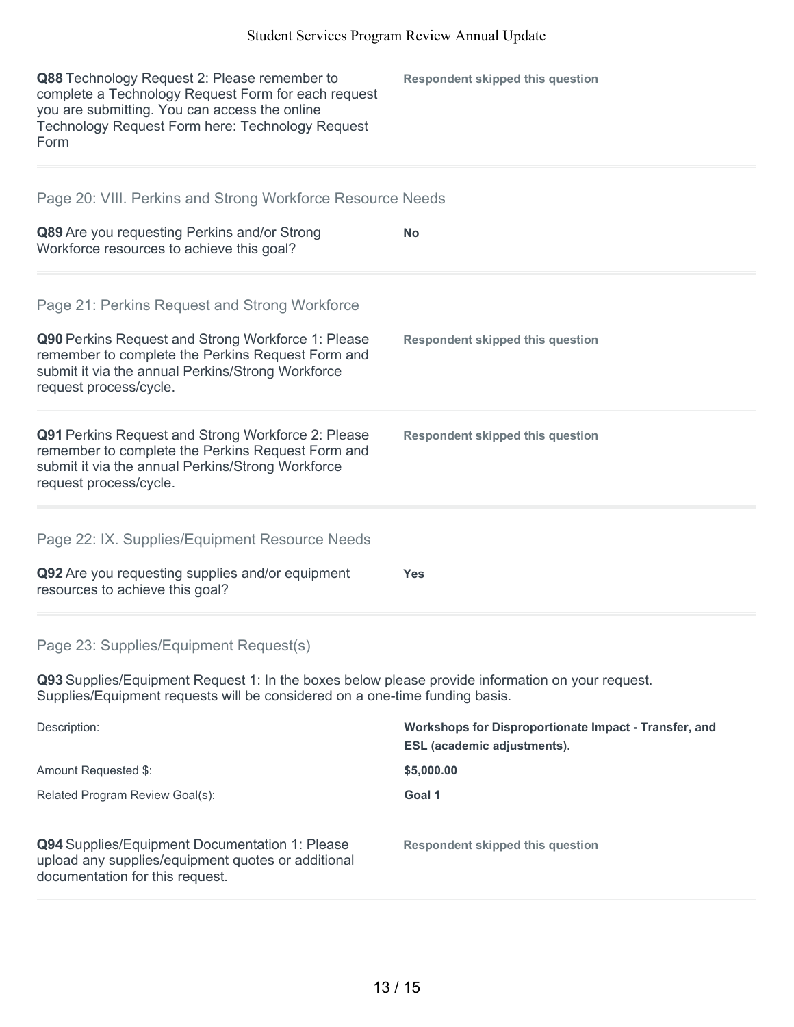| Q88 Technology Request 2: Please remember to<br>complete a Technology Request Form for each request<br>you are submitting. You can access the online<br>Technology Request Form here: Technology Request<br>Form | <b>Respondent skipped this question</b>                                                     |
|------------------------------------------------------------------------------------------------------------------------------------------------------------------------------------------------------------------|---------------------------------------------------------------------------------------------|
| Page 20: VIII. Perkins and Strong Workforce Resource Needs                                                                                                                                                       |                                                                                             |
| Q89 Are you requesting Perkins and/or Strong<br>Workforce resources to achieve this goal?                                                                                                                        | <b>No</b>                                                                                   |
| Page 21: Perkins Request and Strong Workforce                                                                                                                                                                    |                                                                                             |
| Q90 Perkins Request and Strong Workforce 1: Please<br>remember to complete the Perkins Request Form and<br>submit it via the annual Perkins/Strong Workforce<br>request process/cycle.                           | <b>Respondent skipped this question</b>                                                     |
| Q91 Perkins Request and Strong Workforce 2: Please<br>remember to complete the Perkins Request Form and<br>submit it via the annual Perkins/Strong Workforce<br>request process/cycle.                           | <b>Respondent skipped this question</b>                                                     |
| Page 22: IX. Supplies/Equipment Resource Needs                                                                                                                                                                   |                                                                                             |
| Q92 Are you requesting supplies and/or equipment<br>resources to achieve this goal?                                                                                                                              | <b>Yes</b>                                                                                  |
| Page 23: Supplies/Equipment Request(s)                                                                                                                                                                           |                                                                                             |
| Q93 Supplies/Equipment Request 1: In the boxes below please provide information on your request.<br>Supplies/Equipment requests will be considered on a one-time funding basis.                                  |                                                                                             |
| Description:                                                                                                                                                                                                     | Workshops for Disproportionate Impact - Transfer, and<br><b>ESL</b> (academic adjustments). |
| Amount Requested \$:                                                                                                                                                                                             | \$5,000.00                                                                                  |
| Related Program Review Goal(s):                                                                                                                                                                                  | Goal 1                                                                                      |

**Q94** Supplies/Equipment Documentation 1: Please upload any supplies/equipment quotes or additional documentation for this request.

**Respondent skipped this question**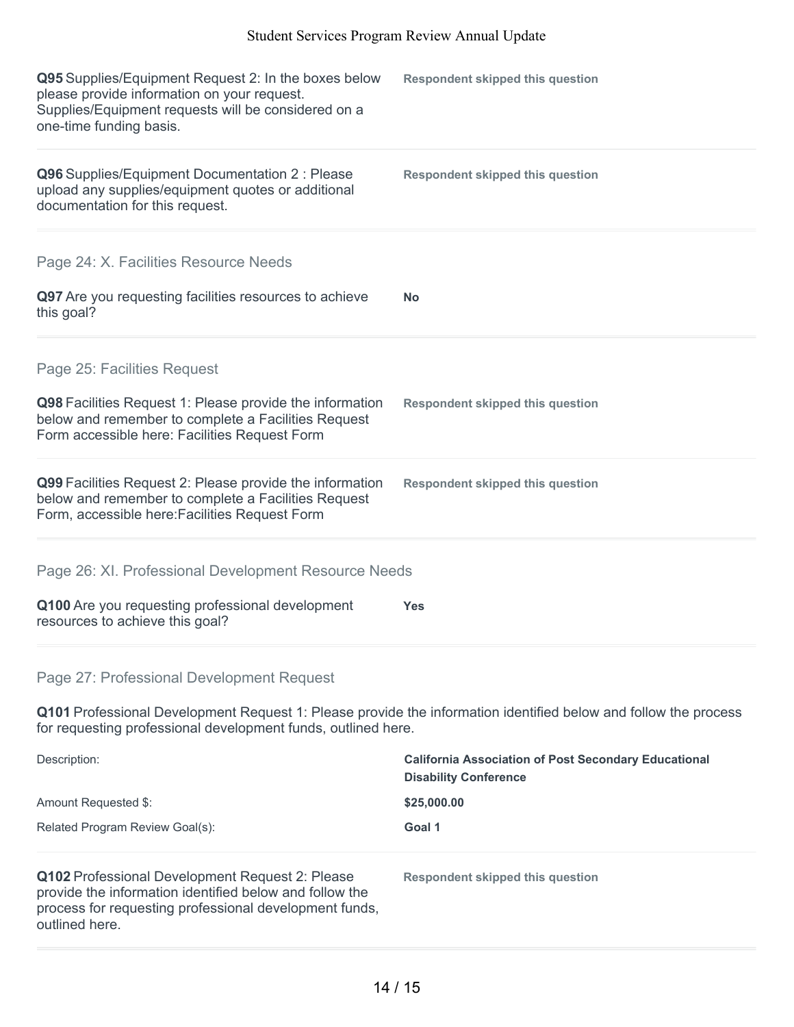| Q95 Supplies/Equipment Request 2: In the boxes below<br>please provide information on your request.<br>Supplies/Equipment requests will be considered on a<br>one-time funding basis.           | <b>Respondent skipped this question</b> |
|-------------------------------------------------------------------------------------------------------------------------------------------------------------------------------------------------|-----------------------------------------|
| Q96 Supplies/Equipment Documentation 2 : Please<br>upload any supplies/equipment quotes or additional<br>documentation for this request.                                                        | <b>Respondent skipped this question</b> |
| Page 24: X. Facilities Resource Needs<br>Q97 Are you requesting facilities resources to achieve<br>this goal?                                                                                   | <b>No</b>                               |
| Page 25: Facilities Request<br>Q98 Facilities Request 1: Please provide the information<br>below and remember to complete a Facilities Request<br>Form accessible here: Facilities Request Form | <b>Respondent skipped this question</b> |
| Q99 Facilities Request 2: Please provide the information<br>below and remember to complete a Facilities Request<br>Form, accessible here: Facilities Request Form                               | <b>Respondent skipped this question</b> |
| Page 26: XI. Professional Development Resource Needs<br>Q100 Are you requesting professional development<br>resources to achieve this goal?                                                     | <b>Yes</b>                              |
| Page 27: Professional Development Request                                                                                                                                                       |                                         |

**Q101** Professional Development Request 1: Please provide the information identified below and follow the process for requesting professional development funds, outlined here.

| Description:<br>Amount Requested \$:<br>Related Program Review Goal(s):                                                                                                                | <b>California Association of Post Secondary Educational</b><br><b>Disability Conference</b> |  |
|----------------------------------------------------------------------------------------------------------------------------------------------------------------------------------------|---------------------------------------------------------------------------------------------|--|
|                                                                                                                                                                                        | \$25,000.00                                                                                 |  |
|                                                                                                                                                                                        | Goal 1                                                                                      |  |
| Q102 Professional Development Request 2: Please<br>provide the information identified below and follow the<br>process for requesting professional development funds,<br>outlined here. | Respondent skipped this question                                                            |  |